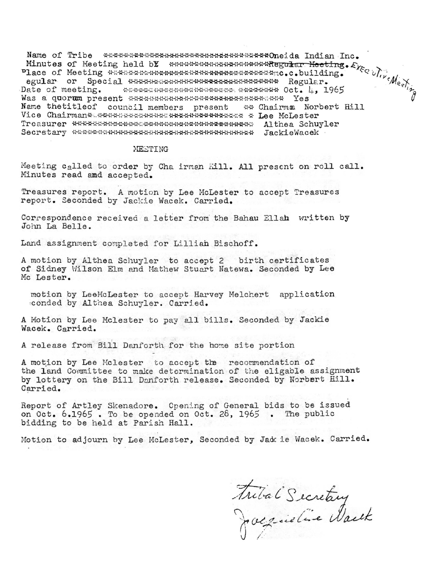Date of meeting. Was a quorum present \*\*\*\*\*\*\*\*\*\*\*\*\*\*\*\*\*\*\*\*\*\*\*\*\*\*\*\*\*\*\*\*\* Yes Name thetitleof council members present \*\* Chairma Norbert Hill Vice Chairman\* \*\*\*\*\*\*\*\*\*\*\*\*\*\*\*\*\*\*\*\*\*\*\*\*\*\*\*\*\*\*\* \* Lee McLester 

## MEETING

Meeting called to order by Cha irman Hill. All present on roll call. Minutes read and accepted.

Treasures report. A motion by Lee McLester to accept Treasures report. Seconded by Jackie Wacek. Carried.

Correspondence received a letter from the Bahau Ellah written by John La Belle.

Land assignment completed for Lillian Bischoff.

A motion by Althea Schuyler to accept 2 birth certificates of Sidney Wilson Elm and Mathew Stuart Natewa. Seconded by Lee Mc Lester.

motion by LeeMcLester to accept Harvey Melchert application conded by Althea Schuyler. Carried.

A Motion by Lee Mclester to pay all bills. Seconded by Jackie Wacek. Carried.

A release from Bill Danforth for the home site portion

A motion by Lee Mclester to accept the recommendation of the land Committee to make determination of the eligable assignment by lottery on the Bill Denforth release. Seconded by Norbert Hill. Carried.

Report of Artley Skenadore. Opening of General bids to be issued on Oct. 6.1965. To be opended on Oct. 26, 1965. The public bidding to be held at Parish Hall.

Motion to adjourn by Lee McLester, Seconded by Jak ie Wacek. Carried.

Frital Secretary